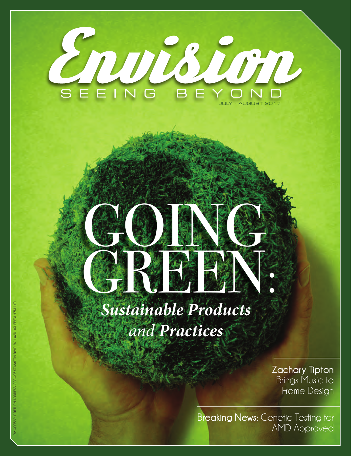

# GOING COM GREEN: DE

*Sustainable Products and Practices*

> **Zachary Tipton**  Brings Music to Frame Design

**Breaking News:** Genetic Testing for AMD Approved